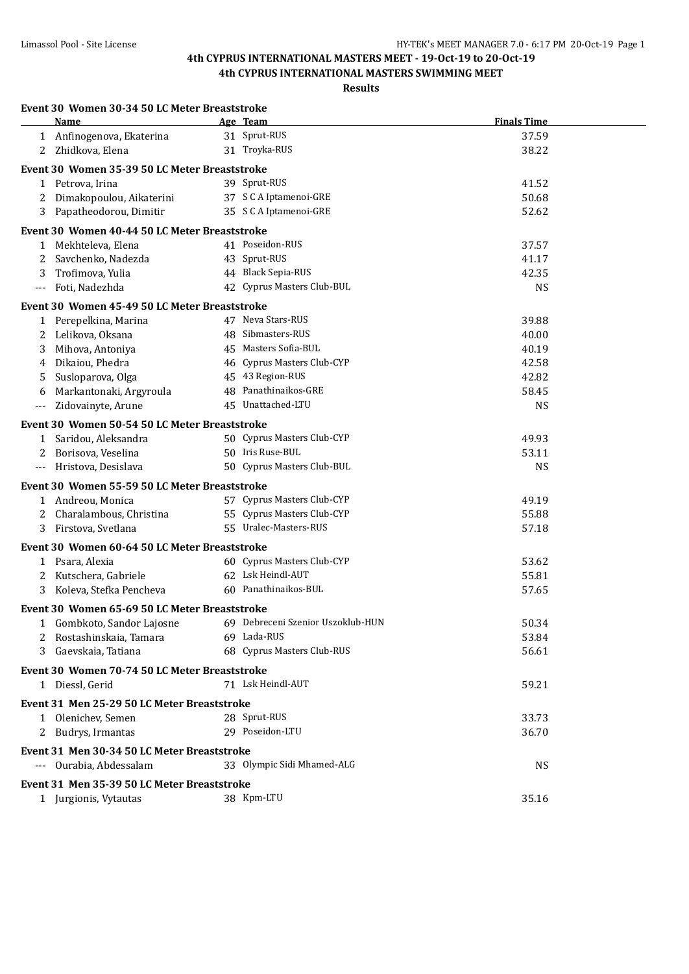**4th CYPRUS INTERNATIONAL MASTERS SWIMMING MEET**

| Event 30 Women 30-34 50 LC Meter Breaststroke                |                            |                    |  |
|--------------------------------------------------------------|----------------------------|--------------------|--|
| Name                                                         | Age Team                   | <b>Finals Time</b> |  |
| 1 Anfinogenova, Ekaterina                                    | 31 Sprut-RUS               | 37.59              |  |
| Zhidkova, Elena<br>$\mathbf{2}^{\mathbf{-1}}$                | 31 Troyka-RUS              | 38.22              |  |
| Event 30 Women 35-39 50 LC Meter Breaststroke                |                            |                    |  |
| 1 Petrova, Irina                                             | 39 Sprut-RUS               | 41.52              |  |
| Dimakopoulou, Aikaterini<br>2                                | 37 S C A Iptamenoi-GRE     | 50.68              |  |
| 3 Papatheodorou, Dimitir                                     | 35 S C A Iptamenoi-GRE     | 52.62              |  |
|                                                              |                            |                    |  |
| Event 30 Women 40-44 50 LC Meter Breaststroke                |                            |                    |  |
| 1 Mekhteleva, Elena                                          | 41 Poseidon-RUS            | 37.57              |  |
| Savchenko, Nadezda<br>2                                      | 43 Sprut-RUS               | 41.17              |  |
| Trofimova, Yulia<br>3                                        | 44 Black Sepia-RUS         | 42.35              |  |
| Foti, Nadezhda<br>---                                        | 42 Cyprus Masters Club-BUL | <b>NS</b>          |  |
| Event 30 Women 45-49 50 LC Meter Breaststroke                |                            |                    |  |
| 1 Perepelkina, Marina                                        | 47 Neva Stars-RUS          | 39.88              |  |
| Lelikova, Oksana<br>2                                        | 48 Sibmasters-RUS          | 40.00              |  |
| Mihova, Antoniya<br>3                                        | 45 Masters Sofia-BUL       | 40.19              |  |
| Dikaiou, Phedra<br>4                                         | 46 Cyprus Masters Club-CYP | 42.58              |  |
| Susloparova, Olga<br>5                                       | 45 43 Region-RUS           | 42.82              |  |
| Markantonaki, Argyroula<br>6                                 | 48 Panathinaikos-GRE       | 58.45              |  |
| Zidovainyte, Arune<br>$\cdots$                               | 45 Unattached-LTU          | <b>NS</b>          |  |
| Event 30 Women 50-54 50 LC Meter Breaststroke                |                            |                    |  |
| 1 Saridou, Aleksandra                                        | 50 Cyprus Masters Club-CYP | 49.93              |  |
| Borisova, Veselina                                           | 50 Iris Ruse-BUL           | 53.11              |  |
| Hristova, Desislava<br>$---$                                 | 50 Cyprus Masters Club-BUL | <b>NS</b>          |  |
|                                                              |                            |                    |  |
| Event 30 Women 55-59 50 LC Meter Breaststroke                |                            |                    |  |
| 1 Andreou, Monica                                            | 57 Cyprus Masters Club-CYP | 49.19              |  |
| Charalambous, Christina<br>2                                 | 55 Cyprus Masters Club-CYP | 55.88              |  |
| Firstova, Svetlana<br>3                                      | 55 Uralec-Masters-RUS      | 57.18              |  |
| Event 30 Women 60-64 50 LC Meter Breaststroke                |                            |                    |  |
| 1 Psara, Alexia                                              | 60 Cyprus Masters Club-CYP | 53.62              |  |
| Kutschera, Gabriele<br>2                                     | 62 Lsk Heindl-AUT          | 55.81              |  |
| 3<br>Koleva, Stefka Pencheva                                 | 60 Panathinaikos-BUL       | 57.65              |  |
| Event 30 Women 65-69 50 LC Meter Breaststroke                |                            |                    |  |
| 1 Gombkoto, Sandor Lajosne 69 Debreceni Szenior Uszoklub-HUN |                            | 50.34              |  |
| Rostashinskaia, Tamara                                       | 69 Lada-RUS                | 53.84              |  |
| Gaevskaia, Tatiana<br>3                                      | 68 Cyprus Masters Club-RUS | 56.61              |  |
|                                                              |                            |                    |  |
| Event 30 Women 70-74 50 LC Meter Breaststroke                | 71 Lsk Heindl-AUT          | 59.21              |  |
| 1 Diessl, Gerid                                              |                            |                    |  |
| Event 31 Men 25-29 50 LC Meter Breaststroke                  |                            |                    |  |
| 1 Olenichev, Semen                                           | 28 Sprut-RUS               | 33.73              |  |
| 2 Budrys, Irmantas                                           | 29 Poseidon-LTU            | 36.70              |  |
| Event 31 Men 30-34 50 LC Meter Breaststroke                  |                            |                    |  |
| --- Ourabia, Abdessalam                                      | 33 Olympic Sidi Mhamed-ALG | <b>NS</b>          |  |
|                                                              |                            |                    |  |
| Event 31 Men 35-39 50 LC Meter Breaststroke                  |                            |                    |  |
| 1 Jurgionis, Vytautas                                        | 38 Kpm-LTU                 | 35.16              |  |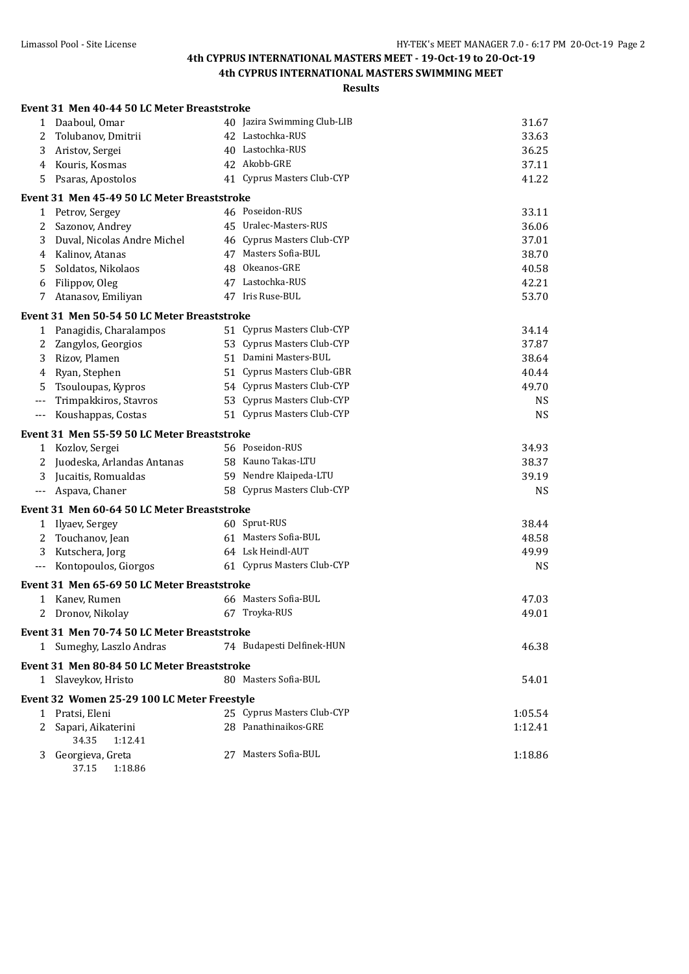**4th CYPRUS INTERNATIONAL MASTERS SWIMMING MEET**

## **Results**

|              | Event 31 Men 40-44 50 LC Meter Breaststroke |                             |           |
|--------------|---------------------------------------------|-----------------------------|-----------|
|              | 1 Daaboul, Omar                             | 40 Jazira Swimming Club-LIB | 31.67     |
| 2            | Tolubanov, Dmitrii                          | 42 Lastochka-RUS            | 33.63     |
| 3            | Aristov, Sergei                             | 40 Lastochka-RUS            | 36.25     |
| 4            | Kouris, Kosmas                              | 42 Akobb-GRE                | 37.11     |
| 5            | Psaras, Apostolos                           | 41 Cyprus Masters Club-CYP  | 41.22     |
|              | Event 31 Men 45-49 50 LC Meter Breaststroke |                             |           |
|              | 1 Petrov, Sergey                            | 46 Poseidon-RUS             | 33.11     |
| 2            | Sazonov, Andrey                             | 45 Uralec-Masters-RUS       | 36.06     |
| 3            | Duval, Nicolas Andre Michel                 | 46 Cyprus Masters Club-CYP  | 37.01     |
| 4            | Kalinov, Atanas                             | 47 Masters Sofia-BUL        | 38.70     |
| 5            | Soldatos, Nikolaos                          | 48 Okeanos-GRE              | 40.58     |
| 6            | Filippov, Oleg                              | 47 Lastochka-RUS            | 42.21     |
| 7            | Atanasov, Emiliyan                          | 47 Iris Ruse-BUL            | 53.70     |
|              | Event 31 Men 50-54 50 LC Meter Breaststroke |                             |           |
| 1            | Panagidis, Charalampos                      | 51 Cyprus Masters Club-CYP  | 34.14     |
| 2            | Zangylos, Georgios                          | 53 Cyprus Masters Club-CYP  | 37.87     |
| 3            | Rizov, Plamen                               | 51 Damini Masters-BUL       | 38.64     |
| 4            | Ryan, Stephen                               | 51 Cyprus Masters Club-GBR  | 40.44     |
| 5            | Tsouloupas, Kypros                          | 54 Cyprus Masters Club-CYP  | 49.70     |
| $---$        | Trimpakkiros, Stavros                       | 53 Cyprus Masters Club-CYP  | <b>NS</b> |
| $---$        | Koushappas, Costas                          | 51 Cyprus Masters Club-CYP  | <b>NS</b> |
|              | Event 31 Men 55-59 50 LC Meter Breaststroke |                             |           |
| 1            | Kozlov, Sergei                              | 56 Poseidon-RUS             | 34.93     |
| 2            | Juodeska, Arlandas Antanas                  | 58 Kauno Takas-LTU          | 38.37     |
| 3            | Jucaitis, Romualdas                         | 59 Nendre Klaipeda-LTU      | 39.19     |
| $---$        | Aspava, Chaner                              | 58 Cyprus Masters Club-CYP  | <b>NS</b> |
|              | Event 31 Men 60-64 50 LC Meter Breaststroke |                             |           |
| $\mathbf{1}$ | Ilyaev, Sergey                              | 60 Sprut-RUS                | 38.44     |
| 2            | Touchanov, Jean                             | 61 Masters Sofia-BUL        | 48.58     |
| 3            | Kutschera, Jorg                             | 64 Lsk Heindl-AUT           | 49.99     |
| $---$        | Kontopoulos, Giorgos                        | 61 Cyprus Masters Club-CYP  | <b>NS</b> |
|              | Event 31 Men 65-69 50 LC Meter Breaststroke |                             |           |
| $\mathbf{1}$ | Kanev, Rumen                                | 66 Masters Sofia-BUL        | 47.03     |
| 2            | Dronov, Nikolay                             | 67 Troyka-RUS               | 49.01     |
|              | Event 31 Men 70-74 50 LC Meter Breaststroke |                             |           |
|              | 1 Sumeghy, Laszlo Andras                    | 74 Budapesti Delfinek-HUN   | 46.38     |
|              | Event 31 Men 80-84 50 LC Meter Breaststroke |                             |           |
|              | 1 Slaveykov, Hristo                         | 80 Masters Sofia-BUL        | 54.01     |
|              | Event 32 Women 25-29 100 LC Meter Freestyle |                             |           |
|              | 1 Pratsi, Eleni                             | 25 Cyprus Masters Club-CYP  | 1:05.54   |
| 2            | Sapari, Aikaterini                          | 28 Panathinaikos-GRE        | 1:12.41   |
|              | 34.35<br>1:12.41                            | 27 Masters Sofia-BUL        |           |
| 3            | Georgieva, Greta                            |                             | 1:18.86   |

37.15 1:18.86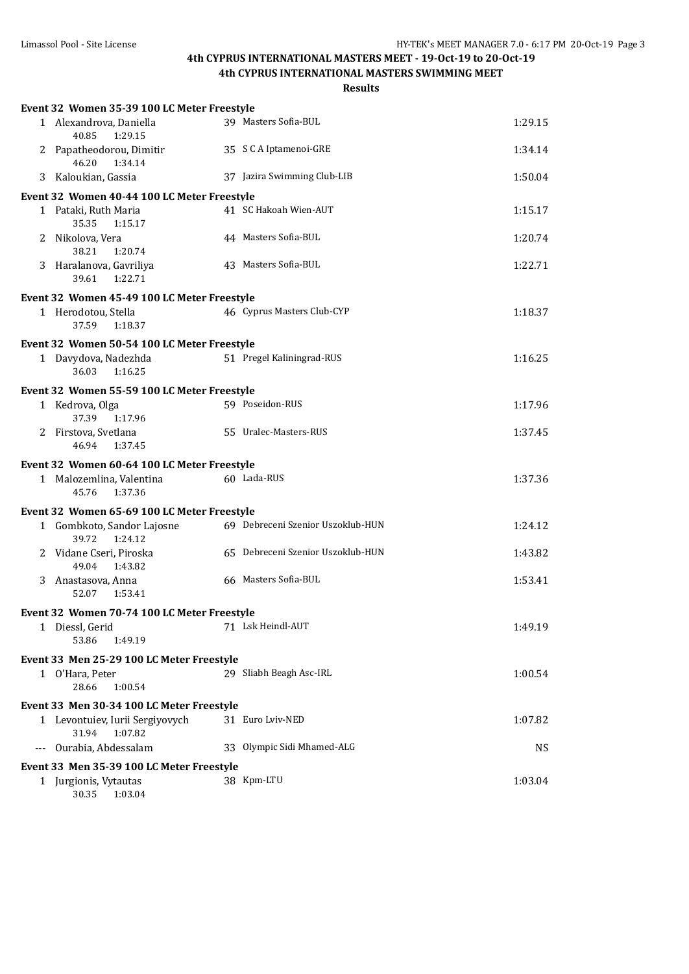**4th CYPRUS INTERNATIONAL MASTERS SWIMMING MEET**

| Event 32 Women 35-39 100 LC Meter Freestyle         |                                   |           |
|-----------------------------------------------------|-----------------------------------|-----------|
| 1 Alexandrova, Daniella<br>40.85<br>1:29.15         | 39 Masters Sofia-BUL              | 1:29.15   |
| 2 Papatheodorou, Dimitir<br>46.20<br>1:34.14        | 35 S C A Iptamenoi-GRE            | 1:34.14   |
| 3 Kaloukian, Gassia                                 | 37 Jazira Swimming Club-LIB       | 1:50.04   |
| Event 32 Women 40-44 100 LC Meter Freestyle         |                                   |           |
| 1 Pataki, Ruth Maria<br>35.35<br>1:15.17            | 41 SC Hakoah Wien-AUT             | 1:15.17   |
| 2 Nikolova, Vera<br>38.21<br>1:20.74                | 44 Masters Sofia-BUL              | 1:20.74   |
| 3 Haralanova, Gavriliya<br>1:22.71<br>39.61         | 43 Masters Sofia-BUL              | 1:22.71   |
| Event 32 Women 45-49 100 LC Meter Freestyle         |                                   |           |
| 1 Herodotou, Stella<br>37.59<br>1:18.37             | 46 Cyprus Masters Club-CYP        | 1:18.37   |
| Event 32 Women 50-54 100 LC Meter Freestyle         |                                   |           |
| 1 Davydova, Nadezhda<br>36.03<br>1:16.25            | 51 Pregel Kaliningrad-RUS         | 1:16.25   |
| Event 32 Women 55-59 100 LC Meter Freestyle         |                                   |           |
| 1 Kedrova, Olga<br>37.39<br>1:17.96                 | 59 Poseidon-RUS                   | 1:17.96   |
| 2 Firstova, Svetlana<br>46.94<br>1:37.45            | 55 Uralec-Masters-RUS             | 1:37.45   |
| Event 32 Women 60-64 100 LC Meter Freestyle         |                                   |           |
| 1 Malozemlina, Valentina<br>45.76<br>1:37.36        | 60 Lada-RUS                       | 1:37.36   |
| Event 32 Women 65-69 100 LC Meter Freestyle         |                                   |           |
| 1 Gombkoto, Sandor Lajosne<br>39.72<br>1:24.12      | 69 Debreceni Szenior Uszoklub-HUN | 1:24.12   |
| 2 Vidane Cseri, Piroska<br>49.04<br>1:43.82         | 65 Debreceni Szenior Uszoklub-HUN | 1:43.82   |
| 3 Anastasova, Anna<br>1:53.41<br>52.07              | 66 Masters Sofia-BUL              | 1:53.41   |
| Event 32 Women 70-74 100 LC Meter Freestyle         |                                   |           |
| 1 Diessl, Gerid<br>53.86<br>1:49.19                 | 71 Lsk Heindl-AUT                 | 1:49.19   |
| Event 33 Men 25-29 100 LC Meter Freestyle           |                                   |           |
| 1 O'Hara, Peter<br>28.66<br>1:00.54                 | 29 Sliabh Beagh Asc-IRL           | 1:00.54   |
| Event 33 Men 30-34 100 LC Meter Freestyle           |                                   |           |
| 1 Levontuiev, Iurii Sergiyovych<br>31.94<br>1:07.82 | 31 Euro Lviv-NED                  | 1:07.82   |
| Ourabia, Abdessalam                                 | 33 Olympic Sidi Mhamed-ALG        | <b>NS</b> |
| Event 33 Men 35-39 100 LC Meter Freestyle           |                                   |           |
| 1 Jurgionis, Vytautas<br>30.35<br>1:03.04           | 38 Kpm-LTU                        | 1:03.04   |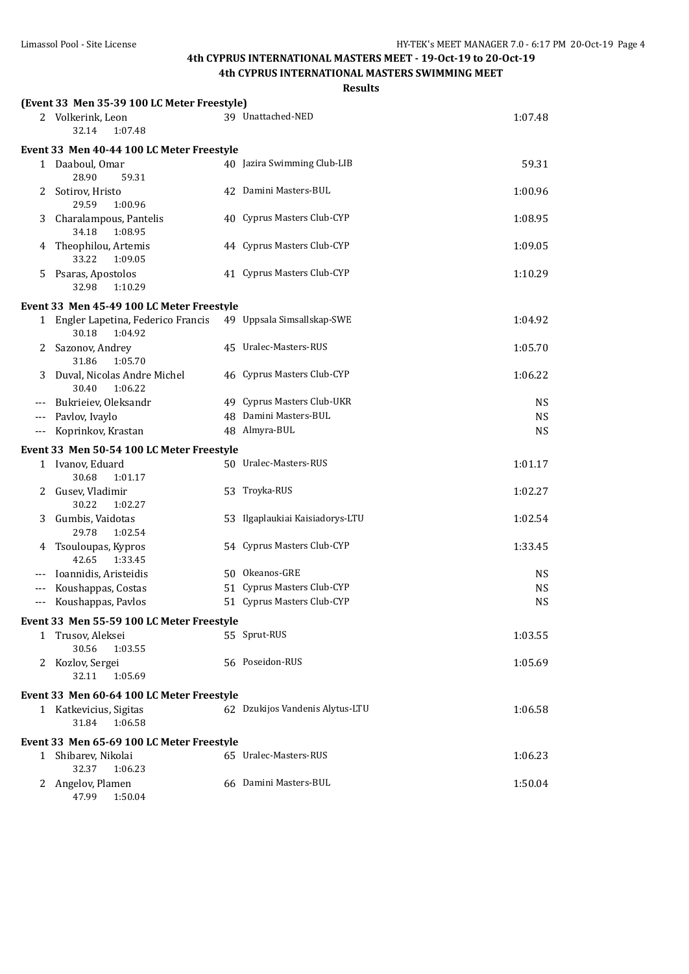### **4th CYPRUS INTERNATIONAL MASTERS SWIMMING MEET**

| esult<br>৲ |
|------------|
|------------|

|       | (Event 33 Men 35-39 100 LC Meter Freestyle)             |                                 |           |
|-------|---------------------------------------------------------|---------------------------------|-----------|
|       | 2 Volkerink, Leon<br>32.14<br>1:07.48                   | 39 Unattached-NED               | 1:07.48   |
|       | Event 33 Men 40-44 100 LC Meter Freestyle               |                                 |           |
|       | 1 Daaboul, Omar<br>28.90<br>59.31                       | 40 Jazira Swimming Club-LIB     | 59.31     |
| 2     | Sotirov, Hristo<br>29.59<br>1:00.96                     | 42 Damini Masters-BUL           | 1:00.96   |
| 3     | Charalampous, Pantelis<br>34.18<br>1:08.95              | 40 Cyprus Masters Club-CYP      | 1:08.95   |
| 4     | Theophilou, Artemis<br>33.22<br>1:09.05                 | 44 Cyprus Masters Club-CYP      | 1:09.05   |
| 5.    | Psaras, Apostolos<br>32.98<br>1:10.29                   | 41 Cyprus Masters Club-CYP      | 1:10.29   |
|       | Event 33 Men 45-49 100 LC Meter Freestyle               |                                 |           |
|       | 1 Engler Lapetina, Federico Francis<br>30.18<br>1:04.92 | 49 Uppsala Simsallskap-SWE      | 1:04.92   |
| 2     | Sazonov, Andrey<br>31.86<br>1:05.70                     | 45 Uralec-Masters-RUS           | 1:05.70   |
| 3     | Duval, Nicolas Andre Michel<br>30.40<br>1:06.22         | 46 Cyprus Masters Club-CYP      | 1:06.22   |
|       | Bukrieiev, Oleksandr                                    | 49 Cyprus Masters Club-UKR      | <b>NS</b> |
| $---$ | Pavlov, Ivaylo                                          | 48 Damini Masters-BUL           | <b>NS</b> |
| $---$ | Koprinkov, Krastan                                      | 48 Almyra-BUL                   | <b>NS</b> |
|       | Event 33 Men 50-54 100 LC Meter Freestyle               |                                 |           |
|       | 1 Ivanov, Eduard<br>30.68<br>1:01.17                    | 50 Uralec-Masters-RUS           | 1:01.17   |
| 2     | Gusev, Vladimir<br>30.22<br>1:02.27                     | 53 Troyka-RUS                   | 1:02.27   |
| 3     | Gumbis, Vaidotas<br>29.78<br>1:02.54                    | 53 Ilgaplaukiai Kaisiadorys-LTU | 1:02.54   |
| 4     | Tsouloupas, Kypros<br>42.65<br>1:33.45                  | 54 Cyprus Masters Club-CYP      | 1:33.45   |
|       | Ioannidis, Aristeidis                                   | 50 Okeanos-GRE                  | <b>NS</b> |
|       | Koushappas, Costas                                      | 51 Cyprus Masters Club-CYP      | <b>NS</b> |
|       | Koushappas, Pavlos                                      | 51 Cyprus Masters Club-CYP      | <b>NS</b> |
|       | Event 33 Men 55-59 100 LC Meter Freestyle               |                                 |           |
|       | 1 Trusov, Aleksei<br>30.56<br>1:03.55                   | 55 Sprut-RUS                    | 1:03.55   |
| 2     | Kozlov, Sergei<br>32.11<br>1:05.69                      | 56 Poseidon-RUS                 | 1:05.69   |
|       | Event 33 Men 60-64 100 LC Meter Freestyle               |                                 |           |
|       | 1 Katkevicius, Sigitas<br>31.84<br>1:06.58              | 62 Dzukijos Vandenis Alytus-LTU | 1:06.58   |
|       | Event 33 Men 65-69 100 LC Meter Freestyle               |                                 |           |
| 1     | Shibarev, Nikolai<br>32.37<br>1:06.23                   | 65 Uralec-Masters-RUS           | 1:06.23   |
|       | 2 Angelov, Plamen<br>47.99<br>1:50.04                   | 66 Damini Masters-BUL           | 1:50.04   |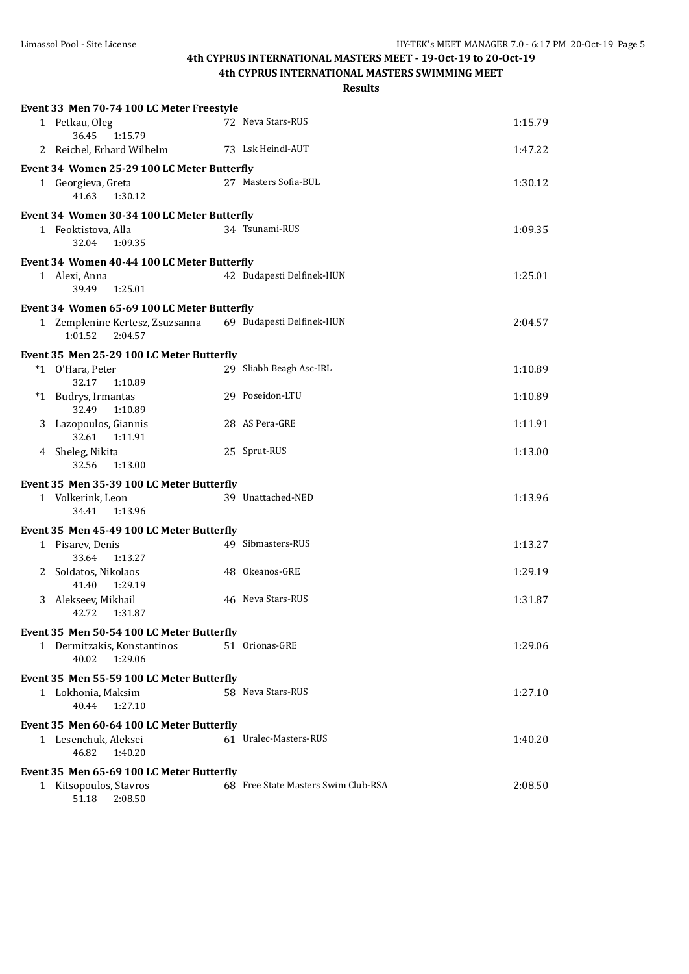**4th CYPRUS INTERNATIONAL MASTERS SWIMMING MEET**

|   | Event 33 Men 70-74 100 LC Meter Freestyle             |                                     |         |
|---|-------------------------------------------------------|-------------------------------------|---------|
|   | 1 Petkau, Oleg<br>36.45<br>1:15.79                    | 72 Neva Stars-RUS                   | 1:15.79 |
|   | 2 Reichel, Erhard Wilhelm                             | 73 Lsk Heindl-AUT                   | 1:47.22 |
|   | Event 34 Women 25-29 100 LC Meter Butterfly           |                                     |         |
|   | 1 Georgieva, Greta<br>41.63<br>1:30.12                | 27 Masters Sofia-BUL                | 1:30.12 |
|   | Event 34 Women 30-34 100 LC Meter Butterfly           |                                     |         |
|   | 1 Feoktistova, Alla<br>32.04<br>1:09.35               | 34 Tsunami-RUS                      | 1:09.35 |
|   | Event 34 Women 40-44 100 LC Meter Butterfly           |                                     |         |
|   | 1 Alexi, Anna<br>39.49<br>1:25.01                     | 42 Budapesti Delfinek-HUN           | 1:25.01 |
|   | Event 34 Women 65-69 100 LC Meter Butterfly           |                                     |         |
|   | 1 Zemplenine Kertesz, Zsuzsanna<br>1:01.52<br>2:04.57 | 69 Budapesti Delfinek-HUN           | 2:04.57 |
|   | Event 35 Men 25-29 100 LC Meter Butterfly             |                                     |         |
|   | *1 O'Hara, Peter<br>32.17<br>1:10.89                  | 29 Sliabh Beagh Asc-IRL             | 1:10.89 |
|   | *1 Budrys, Irmantas<br>32.49<br>1:10.89               | 29 Poseidon-LTU                     | 1:10.89 |
|   | 3 Lazopoulos, Giannis<br>32.61<br>1:11.91             | 28 AS Pera-GRE                      | 1:11.91 |
|   | 4 Sheleg, Nikita<br>32.56<br>1:13.00                  | 25 Sprut-RUS                        | 1:13.00 |
|   | Event 35 Men 35-39 100 LC Meter Butterfly             |                                     |         |
|   | 1 Volkerink, Leon<br>34.41<br>1:13.96                 | 39 Unattached-NED                   | 1:13.96 |
|   | Event 35 Men 45-49 100 LC Meter Butterfly             |                                     |         |
|   | 1 Pisarev, Denis<br>33.64<br>1:13.27                  | 49 Sibmasters-RUS                   | 1:13.27 |
|   | 2 Soldatos, Nikolaos<br>41.40<br>1:29.19              | 48 Okeanos-GRE                      | 1:29.19 |
| 3 | Alekseev, Mikhail<br>42.72<br>1:31.87                 | 46 Neva Stars-RUS                   | 1:31.87 |
|   | Event 35 Men 50-54 100 LC Meter Butterfly             |                                     |         |
|   | 1 Dermitzakis, Konstantinos<br>40.02<br>1:29.06       | 51 Orionas-GRE                      | 1:29.06 |
|   | Event 35 Men 55-59 100 LC Meter Butterfly             |                                     |         |
|   | 1 Lokhonia, Maksim<br>40.44<br>1:27.10                | 58 Neva Stars-RUS                   | 1:27.10 |
|   | Event 35 Men 60-64 100 LC Meter Butterfly             |                                     |         |
|   | 1 Lesenchuk, Aleksei<br>1:40.20<br>46.82              | 61 Uralec-Masters-RUS               | 1:40.20 |
|   | Event 35 Men 65-69 100 LC Meter Butterfly             |                                     |         |
|   | 1 Kitsopoulos, Stavros<br>51.18<br>2:08.50            | 68 Free State Masters Swim Club-RSA | 2:08.50 |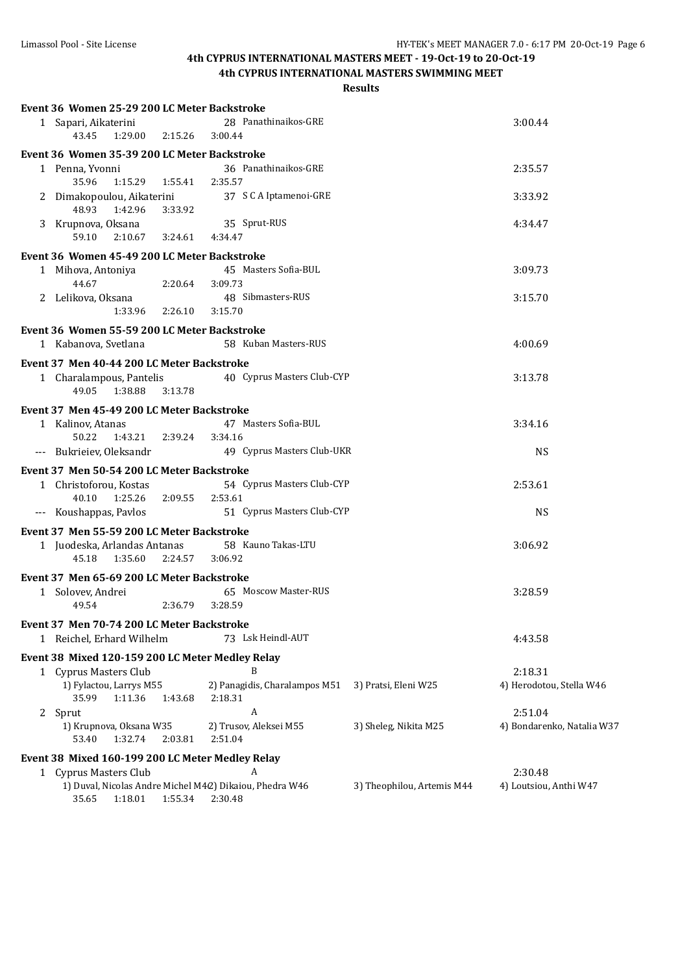### **4th CYPRUS INTERNATIONAL MASTERS SWIMMING MEET**

| Event 36 Women 25-29 200 LC Meter Backstroke |                            |                                                         |                            |                            |  |  |
|----------------------------------------------|----------------------------|---------------------------------------------------------|----------------------------|----------------------------|--|--|
| 1 Sapari, Aikaterini                         |                            | 28 Panathinaikos-GRE                                    |                            | 3:00.44                    |  |  |
| 43.45                                        | 1:29.00<br>2:15.26         | 3:00.44                                                 |                            |                            |  |  |
| Event 36 Women 35-39 200 LC Meter Backstroke |                            |                                                         |                            |                            |  |  |
| 1 Penna, Yvonni<br>35.96                     | 1:15.29<br>1:55.41         | 36 Panathinaikos-GRE<br>2:35.57                         |                            | 2:35.57                    |  |  |
| 2 Dimakopoulou, Aikaterini<br>48.93          |                            | 37 S C A Iptamenoi-GRE                                  |                            | 3:33.92                    |  |  |
| 1:42.96<br>3 Krupnova, Oksana                | 3:33.92                    | 35 Sprut-RUS                                            |                            | 4:34.47                    |  |  |
| 59.10                                        | 2:10.67                    | 3:24.61 4:34.47                                         |                            |                            |  |  |
| Event 36 Women 45-49 200 LC Meter Backstroke |                            |                                                         |                            |                            |  |  |
| 1 Mihova, Antoniya                           |                            | 45 Masters Sofia-BUL                                    |                            | 3:09.73                    |  |  |
| 44.67                                        | 2:20.64                    | 3:09.73                                                 |                            |                            |  |  |
| 2 Lelikova, Oksana                           |                            | 48 Sibmasters-RUS                                       |                            | 3:15.70                    |  |  |
|                                              | 1:33.96<br>2:26.10         | 3:15.70                                                 |                            |                            |  |  |
| Event 36 Women 55-59 200 LC Meter Backstroke |                            |                                                         |                            |                            |  |  |
| 1 Kabanova, Svetlana                         |                            | 58 Kuban Masters-RUS                                    |                            | 4:00.69                    |  |  |
| Event 37 Men 40-44 200 LC Meter Backstroke   |                            |                                                         |                            |                            |  |  |
| 1 Charalampous, Pantelis<br>49.05            | 1:38.88<br>3:13.78         | 40 Cyprus Masters Club-CYP                              |                            | 3:13.78                    |  |  |
| Event 37 Men 45-49 200 LC Meter Backstroke   |                            |                                                         |                            |                            |  |  |
| 1 Kalinov, Atanas                            |                            | 47 Masters Sofia-BUL                                    |                            | 3:34.16                    |  |  |
| 50.22                                        | 1:43.21 2:39.24            | 3:34.16                                                 |                            |                            |  |  |
| --- Bukrieiev, Oleksandr                     |                            | 49 Cyprus Masters Club-UKR                              |                            | <b>NS</b>                  |  |  |
| Event 37 Men 50-54 200 LC Meter Backstroke   |                            |                                                         |                            |                            |  |  |
| 1 Christoforou, Kostas                       |                            | 54 Cyprus Masters Club-CYP                              |                            | 2:53.61                    |  |  |
| 40.10                                        | 1:25.26<br>2:09.55         | 2:53.61                                                 |                            |                            |  |  |
| --- Koushappas, Pavlos                       |                            | 51 Cyprus Masters Club-CYP                              |                            | <b>NS</b>                  |  |  |
| Event 37 Men 55-59 200 LC Meter Backstroke   |                            |                                                         |                            |                            |  |  |
| 1 Juodeska, Arlandas Antanas                 |                            | 58 Kauno Takas-LTU                                      |                            | 3:06.92                    |  |  |
| 45.18                                        | 1:35.60<br>2:24.57         | 3:06.92                                                 |                            |                            |  |  |
| Event 37 Men 65-69 200 LC Meter Backstroke   |                            |                                                         |                            |                            |  |  |
| 1 Solovev, Andrei                            |                            | 65 Moscow Master-RUS                                    |                            | 3:28.59                    |  |  |
| 49.54                                        | 2:36.79                    | 3:28.59                                                 |                            |                            |  |  |
| Event 37 Men 70-74 200 LC Meter Backstroke   |                            |                                                         |                            |                            |  |  |
| 1 Reichel, Erhard Wilhelm                    |                            | 73 Lsk Heindl-AUT                                       |                            | 4:43.58                    |  |  |
|                                              |                            | Event 38 Mixed 120-159 200 LC Meter Medley Relay        |                            |                            |  |  |
| 1 Cyprus Masters Club                        |                            | B                                                       |                            | 2:18.31                    |  |  |
| 1) Fylactou, Larrys M55                      |                            | 2) Panagidis, Charalampos M51                           | 3) Pratsi, Eleni W25       | 4) Herodotou, Stella W46   |  |  |
| 35.99                                        | 1:11.36<br>1:43.68         | 2:18.31                                                 |                            |                            |  |  |
| 2 Sprut                                      |                            | A                                                       |                            | 2:51.04                    |  |  |
| 1) Krupnova, Oksana W35                      |                            | 2) Trusov, Aleksei M55                                  | 3) Sheleg, Nikita M25      | 4) Bondarenko, Natalia W37 |  |  |
| 53.40                                        | 1:32.74<br>2:03.81         | 2:51.04                                                 |                            |                            |  |  |
|                                              |                            | Event 38 Mixed 160-199 200 LC Meter Medley Relay        |                            |                            |  |  |
| 1 Cyprus Masters Club                        |                            | A                                                       |                            | 2:30.48                    |  |  |
|                                              |                            | 1) Duval, Nicolas Andre Michel M42) Dikaiou, Phedra W46 | 3) Theophilou, Artemis M44 | 4) Loutsiou, Anthi W47     |  |  |
| 35.65                                        | 1:55.34 2:30.48<br>1:18.01 |                                                         |                            |                            |  |  |